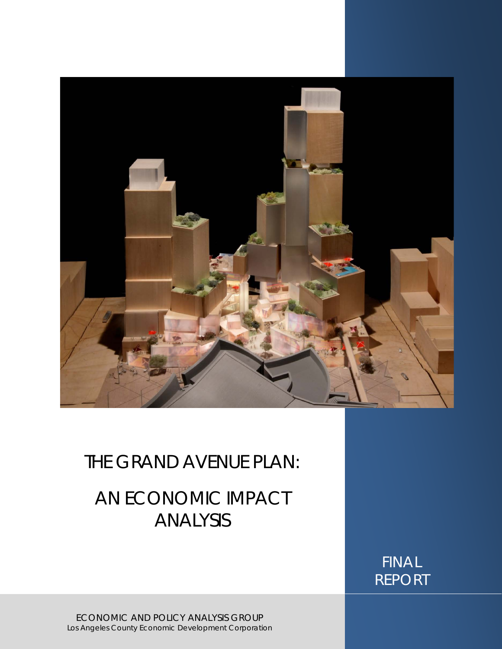

## THE GRAND AVENUE PLAN:

# AN ECONOMIC IMPACT ANALYSIS

FINAL REPORT

ECONOMIC AND POLICY ANALYSIS GROUP Los Angeles County Economic Development Corporation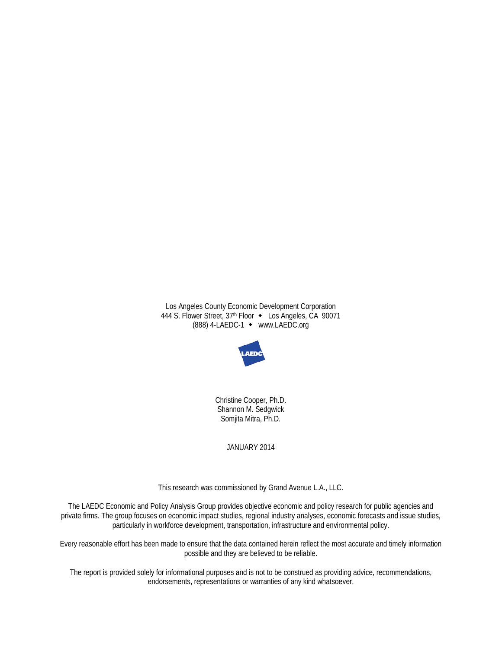Los Angeles County Economic Development Corporation 444 S. Flower Street, 37th Floor • Los Angeles, CA 90071 (888) 4-LAEDC-1 www.LAEDC.org



Christine Cooper, Ph.D. Shannon M. Sedgwick Somjita Mitra, Ph.D.

JANUARY 2014

This research was commissioned by Grand Avenue L.A., LLC.

The LAEDC Economic and Policy Analysis Group provides objective economic and policy research for public agencies and private firms. The group focuses on economic impact studies, regional industry analyses, economic forecasts and issue studies, particularly in workforce development, transportation, infrastructure and environmental policy.

Every reasonable effort has been made to ensure that the data contained herein reflect the most accurate and timely information possible and they are believed to be reliable.

The report is provided solely for informational purposes and is not to be construed as providing advice, recommendations, endorsements, representations or warranties of any kind whatsoever.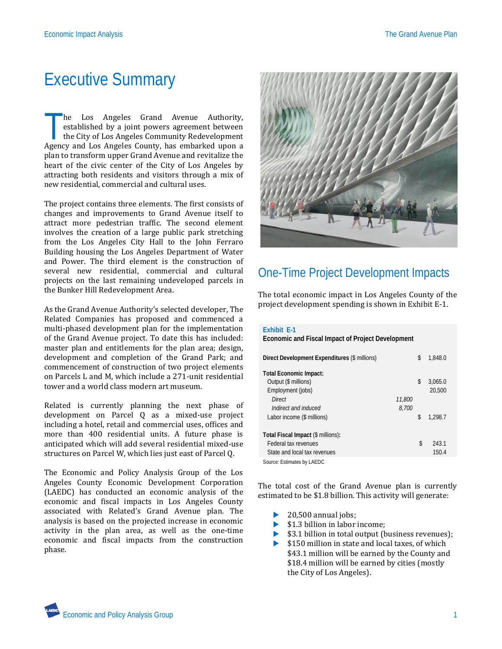# Executive Summary

he Los Angeles Grand Avenue Authority, established by a joint powers agreement between the City of Los Angeles Community Redevelopment he Los Angeles Grand Avenue Authority, established by a joint powers agreement between the City of Los Angeles Community Redevelopment Agency and Los Angeles County, has embarked upon a plan to transform upper Grand Avenue and revitalize the heart of the civic center of the City of Los Angeles by attracting both residents and visitors through a mix of new residential, commercial and cultural uses.

The project contains three elements. The first consists of changes and improvements to Grand Avenue itself to attract more pedestrian traffic. The second element involves the creation of a large public park stretching from the Los Angeles City Hall to the John Ferraro Building housing the Los Angeles Department of Water and Power. The third element is the construction of several new residential, commercial and cultural projects on the last remaining undeveloped parcels in the Bunker Hill Redevelopment Area.

As the Grand Avenue Authority's selected developer, The Related Companies has proposed and commenced a multi-phased development plan for the implementation of the Grand Avenue project. To date this has included: master plan and entitlements for the plan area; design, development and completion of the Grand Park; and commencement of construction of two project elements on Parcels L and M, which include a 271-unit residential tower and a world class modern art museum.

Related is currently planning the next phase of development on Parcel Q as a mixed-use project including a hotel, retail and commercial uses, offices and more than 400 residential units. A future phase is anticipated which will add several residential mixed-use structures on Parcel W, which lies just east of Parcel Q.

The Economic and Policy Analysis Group of the Los Angeles County Economic Development Corporation (LAEDC) has conducted an economic analysis of the economic and fiscal impacts in Los Angeles County associated with Related's Grand Avenue plan. The analysis is based on the projected increase in economic activity in the plan area, as well as the one-time economic and fiscal impacts from the construction phase.



## One-Time Project Development Impacts

The total economic impact in Los Angeles County of the project development spending is shown in Exhibit E-1.

| <b>Exhibit E-1</b><br>Economic and Fiscal Impact of Project Development |        |               |
|-------------------------------------------------------------------------|--------|---------------|
| Direct Development Expenditures (\$ millions)                           |        | \$<br>1.848.0 |
| <b>Total Economic Impact:</b>                                           |        |               |
| Output (\$ millions)                                                    |        | \$<br>3,065.0 |
| Employment (jobs)                                                       |        | 20,500        |
| Direct                                                                  | 11,800 |               |
| Indirect and induced                                                    | 8.700  |               |
| Labor income (\$ millions)                                              |        | \$<br>1.298.7 |
| Total Fiscal Impact (\$ millions):                                      |        |               |
| Federal tax revenues                                                    |        | \$<br>243.1   |
| State and local tax revenues                                            |        | 150.4         |
| Source: Estimates by LAEDC                                              |        |               |

The total cost of the Grand Avenue plan is currently estimated to be \$1.8 billion. This activity will generate:

- 
- $\geq 20,500$  annual jobs;<br> $\leq 13$  hillion in labor
- \$1.3 billion in labor income;
- \$3.1 billion in total output (business revenues);
- ▶ \$150 million in state and local taxes, of which \$43.1 million will be earned by the County and \$18.4 million will be earned by cities (mostly the City of Los Angeles).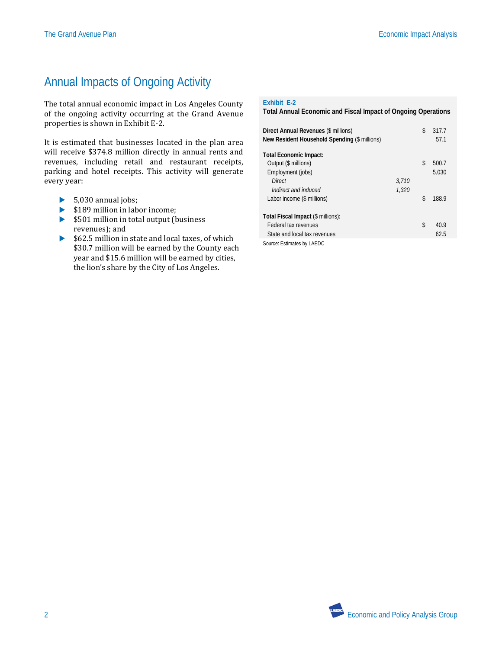## Annual Impacts of Ongoing Activity

The total annual economic impact in Los Angeles County of the ongoing activity occurring at the Grand Avenue properties is shown in Exhibit E-2.

It is estimated that businesses located in the plan area will receive \$374.8 million directly in annual rents and revenues, including retail and restaurant receipts, parking and hotel receipts. This activity will generate every year:

- $\blacktriangleright$  5,030 annual jobs;
- $\blacktriangleright$  \$189 million in labor income:
- ▶ \$501 million in total output (business revenues); and
- ▶ \$62.5 million in state and local taxes, of which \$30.7 million will be earned by the County each year and \$15.6 million will be earned by cities, the lion's share by the City of Los Angeles.

#### **Exhibit E-2**

**Total Annual Economic and Fiscal Impact of Ongoing Operations**

| Direct Annual Revenues (\$ millions)<br>New Resident Household Spending (\$ millions) |       | \$<br>317.7<br>57.1 |
|---------------------------------------------------------------------------------------|-------|---------------------|
| <b>Total Economic Impact:</b>                                                         |       |                     |
| Output (\$ millions)                                                                  |       | \$<br>500.7         |
| Employment (jobs)                                                                     |       | 5,030               |
| Direct                                                                                | 3,710 |                     |
| Indirect and induced                                                                  | 1.320 |                     |
| Labor income (\$ millions)                                                            |       | \$<br>188.9         |
|                                                                                       |       |                     |
| Total Fiscal Impact (\$ millions):                                                    |       |                     |
| Federal tax revenues                                                                  |       | \$<br>40.9          |
| State and local tax revenues                                                          |       | 62.5                |
| Source: Estimates by LAEDC                                                            |       |                     |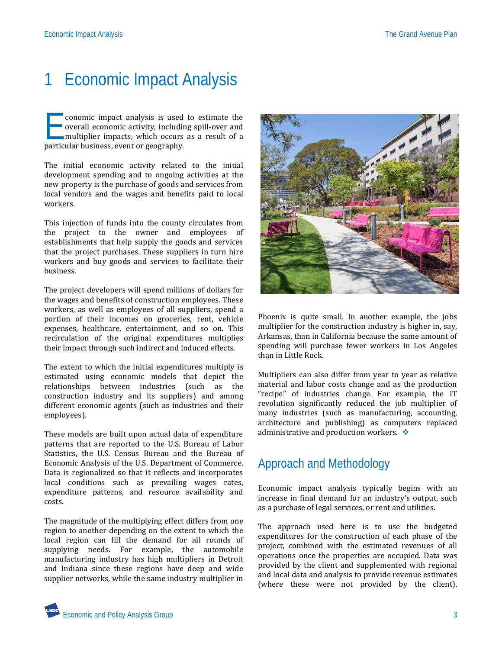# 1 Economic Impact Analysis

conomic impact analysis is used to estimate the overall economic activity, including spill-over and multiplier impacts, which occurs as a result of a conomic impact analysis is used<br>overall economic activity, includin<br>multiplier impacts, which occurs<br>particular business, event or geography.

The initial economic activity related to the initial development spending and to ongoing activities at the new property is the purchase of goods and services from local vendors and the wages and benefits paid to local workers.

This injection of funds into the county circulates from the project to the owner and employees of establishments that help supply the goods and services that the project purchases. These suppliers in turn hire workers and buy goods and services to facilitate their business.

The project developers will spend millions of dollars for the wages and benefits of construction employees. These workers, as well as employees of all suppliers, spend a portion of their incomes on groceries, rent, vehicle expenses, healthcare, entertainment, and so on. This recirculation of the original expenditures multiplies their impact through such indirect and induced effects.

The extent to which the initial expenditures multiply is estimated using economic models that depict the relationships between industries (such as the construction industry and its suppliers) and among different economic agents (such as industries and their employees).

These models are built upon actual data of expenditure patterns that are reported to the U.S. Bureau of Labor Statistics, the U.S. Census Bureau and the Bureau of Economic Analysis of the U.S. Department of Commerce. Data is regionalized so that it reflects and incorporates local conditions such as prevailing wages rates, expenditure patterns, and resource availability and costs.

The magnitude of the multiplying effect differs from one region to another depending on the extent to which the local region can fill the demand for all rounds of supplying needs. For example, the automobile manufacturing industry has high multipliers in Detroit and Indiana since these regions have deep and wide supplier networks, while the same industry multiplier in



Phoenix is quite small. In another example, the jobs multiplier for the construction industry is higher in, say, Arkansas, than in California because the same amount of spending will purchase fewer workers in Los Angeles than in Little Rock.

Multipliers can also differ from year to year as relative material and labor costs change and as the production "recipe" of industries change. For example, the IT revolution significantly reduced the job multiplier of many industries (such as manufacturing, accounting, architecture and publishing) as computers replaced administrative and production workers.  $\cdot$ 

## Approach and Methodology

Economic impact analysis typically begins with an increase in final demand for an industry's output, such as a purchase of legal services, or rent and utilities.

The approach used here is to use the budgeted expenditures for the construction of each phase of the project, combined with the estimated revenues of all operations once the properties are occupied. Data was provided by the client and supplemented with regional and local data and analysis to provide revenue estimates (where these were not provided by the client).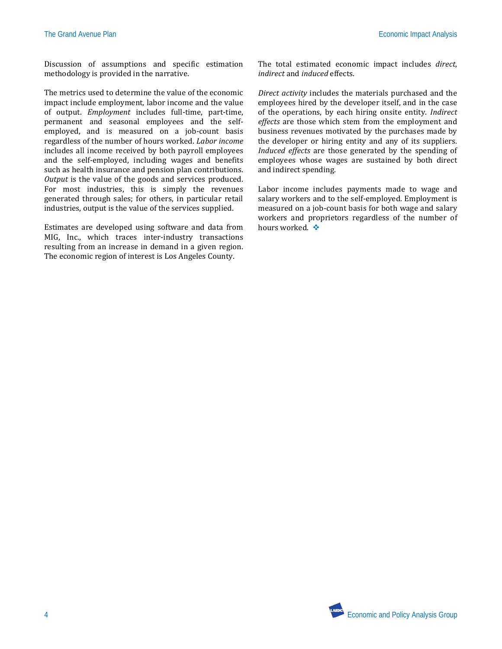Discussion of assumptions and specific estimation methodology is provided in the narrative.

The metrics used to determine the value of the economic impact include employment, labor income and the value of output. *Employment* includes full-time, part-time, permanent and seasonal employees and the selfemployed, and is measured on a job-count basis regardless of the number of hours worked. *Labor income* includes all income received by both payroll employees and the self-employed, including wages and benefits such as health insurance and pension plan contributions. *Output* is the value of the goods and services produced. For most industries, this is simply the revenues generated through sales; for others, in particular retail industries, output is the value of the services supplied.

Estimates are developed using software and data from MIG, Inc., which traces inter-industry transactions resulting from an increase in demand in a given region. The economic region of interest is Los Angeles County.

The total estimated economic impact includes *direct*, *indirect* and *induced* effects.

*Direct activity* includes the materials purchased and the employees hired by the developer itself, and in the case of the operations, by each hiring onsite entity. *Indirect effects* are those which stem from the employment and business revenues motivated by the purchases made by the developer or hiring entity and any of its suppliers. *Induced effects* are those generated by the spending of employees whose wages are sustained by both direct and indirect spending.

Labor income includes payments made to wage and salary workers and to the self-employed. Employment is measured on a job-count basis for both wage and salary workers and proprietors regardless of the number of hours worked. ❖

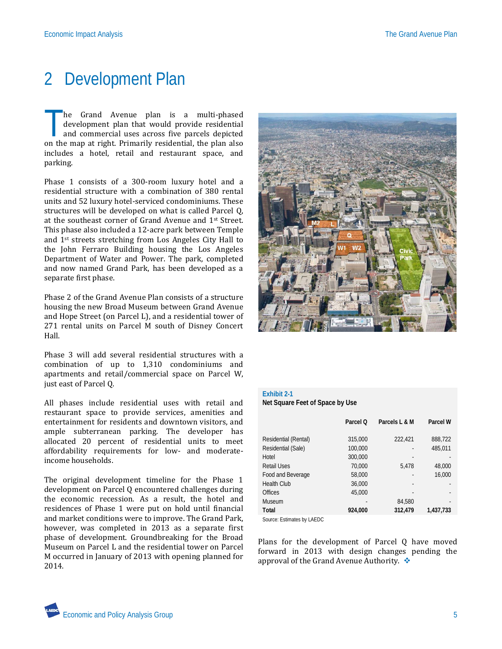# 2 Development Plan

he Grand Avenue plan is a multi-phased development plan that would provide residential and commercial uses across five parcels depicted The Grand Avenue plan is a multi-phased development plan that would provide residential and commercial uses across five parcels depicted on the map at right. Primarily residential, the plan also includes a hotel, retail and restaurant space, and parking.

Phase 1 consists of a 300-room luxury hotel and a residential structure with a combination of 380 rental units and 52 luxury hotel-serviced condominiums. These structures will be developed on what is called Parcel Q, at the southeast corner of Grand Avenue and 1st Street. This phase also included a 12-acre park between Temple and 1st streets stretching from Los Angeles City Hall to the John Ferraro Building housing the Los Angeles Department of Water and Power. The park, completed and now named Grand Park, has been developed as a separate first phase.

Phase 2 of the Grand Avenue Plan consists of a structure housing the new Broad Museum between Grand Avenue and Hope Street (on Parcel L), and a residential tower of 271 rental units on Parcel M south of Disney Concert Hall.

Phase 3 will add several residential structures with a combination of up to 1,310 condominiums and apartments and retail/commercial space on Parcel W, just east of Parcel Q.

All phases include residential uses with retail and restaurant space to provide services, amenities and entertainment for residents and downtown visitors, and ample subterranean parking. The developer has allocated 20 percent of residential units to meet affordability requirements for low- and moderateincome households.

The original development timeline for the Phase 1 development on Parcel Q encountered challenges during the economic recession. As a result, the hotel and residences of Phase 1 were put on hold until financial and market conditions were to improve. The Grand Park, however, was completed in 2013 as a separate first phase of development. Groundbreaking for the Broad Museum on Parcel L and the residential tower on Parcel M occurred in January of 2013 with opening planned for 2014.



### **Exhibit 2-1**

**Net Square Feet of Space by Use**

|                      | Parcel O | Parcels L & M            | Parcel W  |
|----------------------|----------|--------------------------|-----------|
|                      |          |                          |           |
| Residential (Rental) | 315,000  | 222,421                  | 888,722   |
| Residential (Sale)   | 100,000  | -                        | 485,011   |
| Hotel                | 300,000  |                          |           |
| <b>Retail Uses</b>   | 70,000   | 5,478                    | 48,000    |
| Food and Beverage    | 58,000   | $\overline{\phantom{a}}$ | 16,000    |
| <b>Health Club</b>   | 36,000   |                          |           |
| <b>Offices</b>       | 45,000   | $\overline{\phantom{a}}$ |           |
| <b>Museum</b>        |          | 84,580                   |           |
| Total                | 924.000  | 312,479                  | 1.437.733 |

Source: Estimates by LAEDC

Plans for the development of Parcel Q have moved forward in 2013 with design changes pending the approval of the Grand Avenue Authority.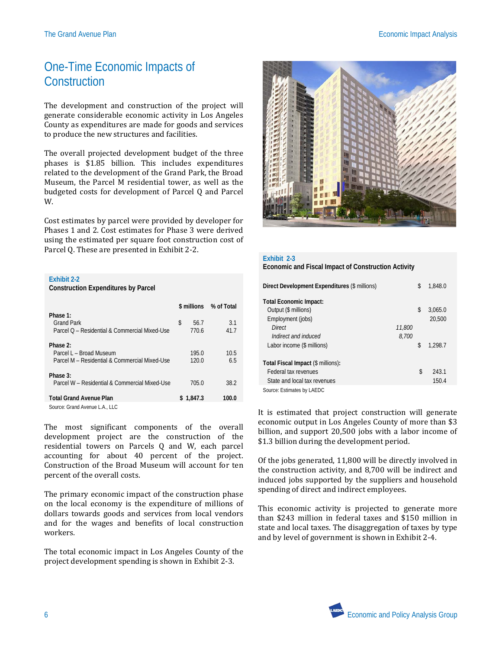## One-Time Economic Impacts of **Construction**

The development and construction of the project will generate considerable economic activity in Los Angeles County as expenditures are made for goods and services to produce the new structures and facilities.

The overall projected development budget of the three phases is \$1.85 billion. This includes expenditures related to the development of the Grand Park, the Broad Museum, the Parcel M residential tower, as well as the budgeted costs for development of Parcel Q and Parcel W.

Cost estimates by parcel were provided by developer for Phases 1 and 2. Cost estimates for Phase 3 were derived using the estimated per square foot construction cost of Parcel Q. These are presented in Exhibit 2-2.

| <b>Exhibit 2-2</b> |  |
|--------------------|--|
|                    |  |

**Construction Expenditures by Parcel**

|                                                                                      |    |                | \$ millions % of Total |
|--------------------------------------------------------------------------------------|----|----------------|------------------------|
| Phase 1:<br><b>Grand Park</b><br>Parcel O - Residential & Commercial Mixed-Use       | \$ | 56.7<br>770.6  | 3.1<br>41.7            |
| Phase 2:<br>Parcel L - Broad Museum<br>Parcel M - Residential & Commercial Mixed-Use |    | 195.0<br>120.0 | 10.5<br>6.5            |
| Phase 3:<br>Parcel W - Residential & Commercial Mixed-Use                            |    | 705.0          | 38.2                   |
| <b>Total Grand Avenue Plan</b>                                                       |    | \$1.847.3      | 100.0                  |
|                                                                                      |    |                |                        |

Source: Grand Avenue L.A., LLC

The most significant components of the overall development project are the construction of the residential towers on Parcels Q and W, each parcel accounting for about 40 percent of the project. Construction of the Broad Museum will account for ten percent of the overall costs.

The primary economic impact of the construction phase on the local economy is the expenditure of millions of dollars towards goods and services from local vendors and for the wages and benefits of local construction workers.

The total economic impact in Los Angeles County of the project development spending is shown in Exhibit 2-3.



| Exhibit 2-3<br>Economic and Fiscal Impact of Construction Activity                                                                         |                 |          |                              |  |
|--------------------------------------------------------------------------------------------------------------------------------------------|-----------------|----------|------------------------------|--|
| Direct Development Expenditures (\$ millions)                                                                                              |                 | \$       | 1,848.0                      |  |
| <b>Total Economic Impact:</b><br>Output (\$ millions)<br>Employment (jobs)<br>Direct<br>Indirect and induced<br>Labor income (\$ millions) | 11,800<br>8.700 | \$<br>\$ | 3,065.0<br>20,500<br>1.298.7 |  |
| Total Fiscal Impact (\$ millions):<br>Federal tax revenues<br>State and local tax revenues                                                 |                 | \$       | 243.1<br>150.4               |  |

Source: Estimates by LAEDC

It is estimated that project construction will generate economic output in Los Angeles County of more than \$3 billion, and support 20,500 jobs with a labor income of \$1.3 billion during the development period.

Of the jobs generated, 11,800 will be directly involved in the construction activity, and 8,700 will be indirect and induced jobs supported by the suppliers and household spending of direct and indirect employees.

This economic activity is projected to generate more than \$243 million in federal taxes and \$150 million in state and local taxes. The disaggregation of taxes by type and by level of government is shown in Exhibit 2-4.

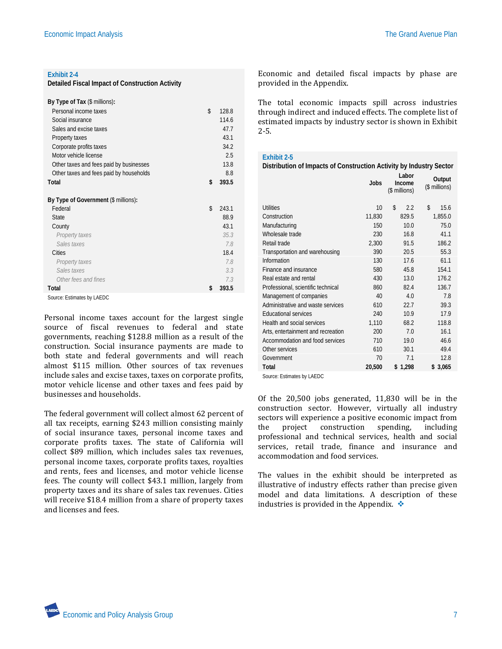#### **Exhibit 2-4**

**Detailed Fiscal Impact of Construction Activity**

| By Type of Tax (\$ millions):           |             |
|-----------------------------------------|-------------|
| Personal income taxes                   | \$<br>128.8 |
| Social insurance                        | 1146        |
| Sales and excise taxes                  | 47.7        |
| Property taxes                          | 43.1        |
| Corporate profits taxes                 | 34.2        |
| Motor vehicle license                   | 2.5         |
| Other taxes and fees paid by businesses | 13.8        |
| Other taxes and fees paid by households | 8.8         |
| Total                                   | \$<br>393.5 |
| By Type of Government (\$ millions):    |             |
| Federal                                 | \$<br>243.1 |
| <b>State</b>                            | 88.9        |
| County                                  | 43.1        |
| Property taxes                          | 35.3        |
| Sales taxes                             | 78          |
| Cities                                  | 18.4        |
| Property taxes                          | 78          |
| Sales taxes                             | 3.3         |
| Other fees and fines                    | 7.3         |
| Total                                   | \$<br>393.5 |

Source: Estimates by LAEDC

Personal income taxes account for the largest single source of fiscal revenues to federal and state governments, reaching \$128.8 million as a result of the construction. Social insurance payments are made to both state and federal governments and will reach almost \$115 million. Other sources of tax revenues include sales and excise taxes, taxes on corporate profits, motor vehicle license and other taxes and fees paid by businesses and households.

The federal government will collect almost 62 percent of all tax receipts, earning \$243 million consisting mainly of social insurance taxes, personal income taxes and corporate profits taxes. The state of California will collect \$89 million, which includes sales tax revenues, personal income taxes, corporate profits taxes, royalties and rents, fees and licenses, and motor vehicle license fees. The county will collect \$43.1 million, largely from property taxes and its share of sales tax revenues. Cities will receive \$18.4 million from a share of property taxes and licenses and fees.

Economic and detailed fiscal impacts by phase are provided in the Appendix.

The total economic impacts spill across industries through indirect and induced effects. The complete list of estimated impacts by industry sector is shown in Exhibit 2-5.

#### **Exhibit 2-5 Distribution of Impacts of Construction Activity by Industry Sector Jobs Labor Income**  (\$ millions) **Output**  (\$ millions) Utilities 10 \$ 2.2 \$ 15.6 Construction 11,830 829.5 1,855.0 Manufacturing 150 10.0 75.0 Wholesale trade 230 16.8 41.1 Retail trade 2.300 91.5 186.2 Transportation and warehousing 390 20.5 55.3 Information 130 17.6 61.1 Finance and insurance 580 45.8 154.1 Real estate and rental 13.0 176.2 Professional, scientific technical 860 82.4 136.7 Management of companies 40 4.0 7.8 Administrative and waste services 610 22.7 39.3 Educational services 240 10.9 17.9 Health and social services 1,110 68.2 118.8 Arts, entertainment and recreation 200 7.0 16.1 Accommodation and food services 710 19.0 46.6 Other services 610 30.1 49.4 Government 70 7.1 12.8 **Total 20,500 \$ 1,298 \$ 3,065** Source: Estimates by LAEDC

Of the 20,500 jobs generated, 11,830 will be in the construction sector. However, virtually all industry sectors will experience a positive economic impact from<br>the project construction spending, including the project construction spending, including professional and technical services, health and social services, retail trade, finance and insurance and accommodation and food services.

The values in the exhibit should be interpreted as illustrative of industry effects rather than precise given model and data limitations. A description of these industries is provided in the Appendix.  $\triangle$ 

**Economic and Policy Analysis Group 7** 2008 7 2008 7 2008 7 2008 7 2008 7 2008 7 2008 7 2008 7 2008 7 2008 7 2008 7 2008 7 2008 7 2008 7 2008 7 2008 7 2008 7 2008 7 2008 7 2008 7 2008 7 2008 7 2008 7 2008 7 2008 7 2008 7 2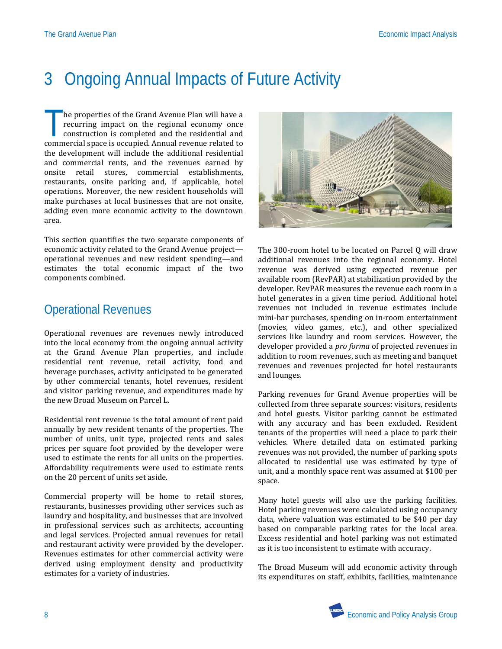# 3 Ongoing Annual Impacts of Future Activity

he properties of the Grand Avenue Plan will have a recurring impact on the regional economy once construction is completed and the residential and The properties of the Grand Avenue Plan will have a recurring impact on the regional economy once construction is completed and the residential and commercial space is occupied. Annual revenue related to the development will include the additional residential and commercial rents, and the revenues earned by onsite retail stores, commercial establishments, restaurants, onsite parking and, if applicable, hotel operations. Moreover, the new resident households will make purchases at local businesses that are not onsite, adding even more economic activity to the downtown area.

This section quantifies the two separate components of economic activity related to the Grand Avenue project operational revenues and new resident spending—and estimates the total economic impact of the two components combined.

### Operational Revenues

Operational revenues are revenues newly introduced into the local economy from the ongoing annual activity at the Grand Avenue Plan properties, and include residential rent revenue, retail activity, food and beverage purchases, activity anticipated to be generated by other commercial tenants, hotel revenues, resident and visitor parking revenue, and expenditures made by the new Broad Museum on Parcel L.

Residential rent revenue is the total amount of rent paid annually by new resident tenants of the properties. The number of units, unit type, projected rents and sales prices per square foot provided by the developer were used to estimate the rents for all units on the properties. Affordability requirements were used to estimate rents on the 20 percent of units set aside.

Commercial property will be home to retail stores, restaurants, businesses providing other services such as laundry and hospitality, and businesses that are involved in professional services such as architects, accounting and legal services. Projected annual revenues for retail and restaurant activity were provided by the developer. Revenues estimates for other commercial activity were derived using employment density and productivity estimates for a variety of industries.



The 300-room hotel to be located on Parcel Q will draw additional revenues into the regional economy. Hotel revenue was derived using expected revenue per available room (RevPAR) at stabilization provided by the developer. RevPAR measures the revenue each room in a hotel generates in a given time period. Additional hotel revenues not included in revenue estimates include mini-bar purchases, spending on in-room entertainment (movies, video games, etc.), and other specialized services like laundry and room services. However, the developer provided a *pro forma* of projected revenues in addition to room revenues, such as meeting and banquet revenues and revenues projected for hotel restaurants and lounges.

Parking revenues for Grand Avenue properties will be collected from three separate sources: visitors, residents and hotel guests. Visitor parking cannot be estimated with any accuracy and has been excluded. Resident tenants of the properties will need a place to park their vehicles. Where detailed data on estimated parking revenues was not provided, the number of parking spots allocated to residential use was estimated by type of unit, and a monthly space rent was assumed at \$100 per space.

Many hotel guests will also use the parking facilities. Hotel parking revenues were calculated using occupancy data, where valuation was estimated to be \$40 per day based on comparable parking rates for the local area. Excess residential and hotel parking was not estimated as it is too inconsistent to estimate with accuracy.

The Broad Museum will add economic activity through its expenditures on staff, exhibits, facilities, maintenance

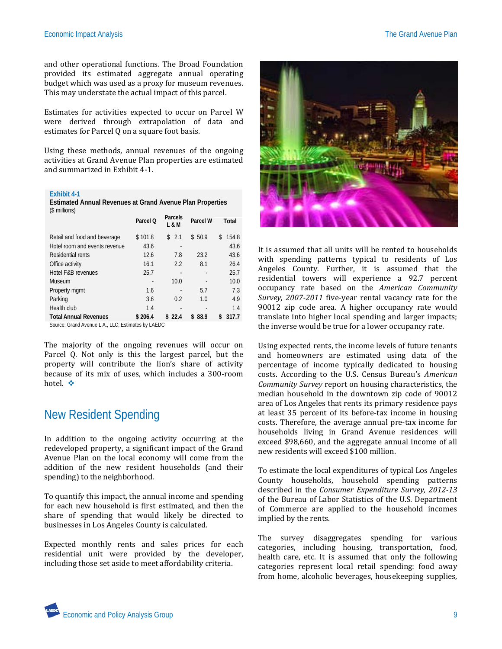and other operational functions. The Broad Foundation provided its estimated aggregate annual operating budget which was used as a proxy for museum revenues. This may understate the actual impact of this parcel.

Estimates for activities expected to occur on Parcel W were derived through extrapolation of data and estimates for Parcel Q on a square foot basis.

Using these methods, annual revenues of the ongoing activities at Grand Avenue Plan properties are estimated and summarized in Exhibit 4-1.

#### **Exhibit 4-1**

**Estimated Annual Revenues at Grand Avenue Plan Properties** (\$ millions)

|                               | Parcel O | Parcels<br>L & M | Parcel W | Total       |
|-------------------------------|----------|------------------|----------|-------------|
| Retail and food and beverage  | \$101.8  | \$2.1            | \$50.9   | \$<br>154.8 |
| Hotel room and events revenue | 43.6     |                  |          | 43.6        |
| Residential rents             | 12.6     | 7.8              | 23.2     | 43.6        |
| Office activity               | 16.1     | 2.2              | 8.1      | 26.4        |
| Hotel F&B revenues            | 25.7     |                  |          | 25.7        |
| Museum                        |          | 10.0             |          | 10.0        |
| Property mgmt                 | 1.6      |                  | 5.7      | 7.3         |
| Parking                       | 3.6      | 0.2              | 1.0      | 4.9         |
| Health club                   | 1.4      |                  |          | 1.4         |
| <b>Total Annual Revenues</b>  | \$206.4  | \$22.4           | \$88.9   | 317.7<br>S  |
|                               |          |                  |          |             |

Source: Grand Avenue L.A., LLC; Estimates by LAEDC

The majority of the ongoing revenues will occur on Parcel Q. Not only is this the largest parcel, but the property will contribute the lion's share of activity because of its mix of uses, which includes a 300-room hotel<sup>3</sup>

### New Resident Spending

In addition to the ongoing activity occurring at the redeveloped property, a significant impact of the Grand Avenue Plan on the local economy will come from the addition of the new resident households (and their spending) to the neighborhood.

To quantify this impact, the annual income and spending for each new household is first estimated, and then the share of spending that would likely be directed to businesses in Los Angeles County is calculated.

Expected monthly rents and sales prices for each residential unit were provided by the developer, including those set aside to meet affordability criteria.



It is assumed that all units will be rented to households with spending patterns typical to residents of Los Angeles County. Further, it is assumed that the residential towers will experience a 92.7 percent occupancy rate based on the *American Community Survey, 2007-2011* five-year rental vacancy rate for the 90012 zip code area. A higher occupancy rate would translate into higher local spending and larger impacts; the inverse would be true for a lower occupancy rate.

Using expected rents, the income levels of future tenants and homeowners are estimated using data of the percentage of income typically dedicated to housing costs. According to the U.S. Census Bureau's *American Community Survey* report on housing characteristics, the median household in the downtown zip code of 90012 area of Los Angeles that rents its primary residence pays at least 35 percent of its before-tax income in housing costs. Therefore, the average annual pre-tax income for households living in Grand Avenue residences will exceed \$98,660, and the aggregate annual income of all new residents will exceed \$100 million.

To estimate the local expenditures of typical Los Angeles County households, household spending patterns described in the *Consumer Expenditure Survey, 2012-13* of the Bureau of Labor Statistics of the U.S. Department of Commerce are applied to the household incomes implied by the rents.

The survey disaggregates spending for various categories, including housing, transportation, food, health care, etc. It is assumed that only the following categories represent local retail spending: food away from home, alcoholic beverages, housekeeping supplies,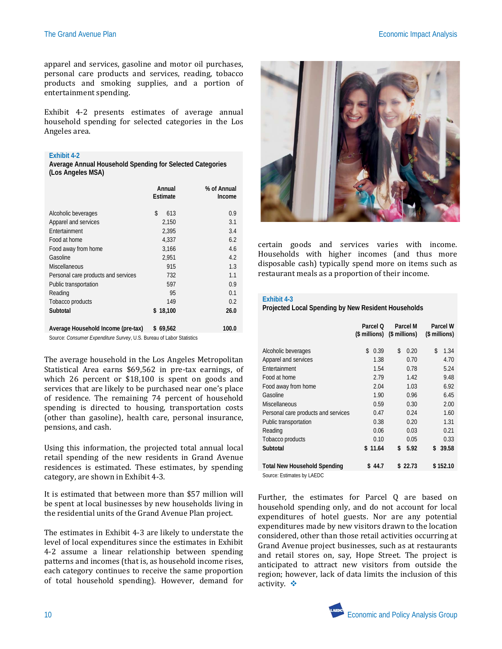apparel and services, gasoline and motor oil purchases, personal care products and services, reading, tobacco products and smoking supplies, and a portion of entertainment spending.

Exhibit 4-2 presents estimates of average annual household spending for selected categories in the Los Angeles area.

#### **Exhibit 4-2**

**Average Annual Household Spending for Selected Categories (Los Angeles MSA)**

|                                     | Annual<br>Estimate | % of Annual<br>Income |
|-------------------------------------|--------------------|-----------------------|
| Alcoholic beverages                 | \$<br>613          | 0.9                   |
| Apparel and services                | 2,150              | 3.1                   |
| Entertainment                       | 2,395              | 3.4                   |
| Food at home                        | 4,337              | 6.2                   |
| Food away from home                 | 3,166              | 4.6                   |
| Gasoline                            | 2,951              | 4.2                   |
| <b>Miscellaneous</b>                | 915                | 1.3                   |
| Personal care products and services | 732                | 1.1                   |
| Public transportation               | 597                | 0.9                   |
| Reading                             | 95                 | 0.1                   |
| Tobacco products                    | 149                | 0.2                   |
| Subtotal                            | \$18,100           | 26.0                  |
| Average Household Income (pre-tax)  | \$<br>69,562       | 100.0                 |

Source: *Consumer Expenditure Survey*, U.S. Bureau of Labor Statistics

The average household in the Los Angeles Metropolitan Statistical Area earns \$69,562 in pre-tax earnings, of which 26 percent or \$18,100 is spent on goods and services that are likely to be purchased near one's place of residence. The remaining 74 percent of household spending is directed to housing, transportation costs (other than gasoline), health care, personal insurance, pensions, and cash.

Using this information, the projected total annual local retail spending of the new residents in Grand Avenue residences is estimated. These estimates, by spending category, are shown in Exhibit 4-3.

It is estimated that between more than \$57 million will be spent at local businesses by new households living in the residential units of the Grand Avenue Plan project.

The estimates in Exhibit 4-3 are likely to understate the level of local expenditures since the estimates in Exhibit 4-2 assume a linear relationship between spending patterns and incomes (that is, as household income rises, each category continues to receive the same proportion of total household spending). However, demand for



certain goods and services varies with income. Households with higher incomes (and thus more disposable cash) typically spend more on items such as restaurant meals as a proportion of their income.

### **Exhibit 4-3**

**Projected Local Spending by New Resident Households**

|                                     | Parcel O<br>(\$ millions) | Parcel M<br>(\$ millions) | Parcel W<br>(\$ millions) |
|-------------------------------------|---------------------------|---------------------------|---------------------------|
| Alcoholic beverages                 | \$<br>0.39                | \$<br>0.20                | \$<br>1.34                |
| Apparel and services                | 1.38                      | 0.70                      | 4.70                      |
| Entertainment                       | 1.54                      | 0.78                      | 5.24                      |
| Food at home                        | 2.79                      | 1.42                      | 9.48                      |
| Food away from home                 | 2.04                      | 1.03                      | 6.92                      |
| Gasoline                            | 1.90                      | 0.96                      | 6.45                      |
| Miscellaneous                       | 0.59                      | 0.30                      | 2.00                      |
| Personal care products and services | 0.47                      | 0.24                      | 1.60                      |
| Public transportation               | 0.38                      | 0.20                      | 1.31                      |
| Reading                             | 0.06                      | 0.03                      | 0.21                      |
| Tobacco products                    | 0.10                      | 0.05                      | 0.33                      |
| Subtotal                            | \$11.64                   | 5.92<br>\$                | \$<br>39.58               |
|                                     |                           |                           |                           |
| <b>Total New Household Spending</b> | \$44.7                    | \$22.73                   | \$152.10                  |
| Source: Estimates by LAEDC          |                           |                           |                           |

Further, the estimates for Parcel Q are based on household spending only, and do not account for local expenditures of hotel guests. Nor are any potential expenditures made by new visitors drawn to the location considered, other than those retail activities occurring at Grand Avenue project businesses, such as at restaurants and retail stores on, say, Hope Street. The project is anticipated to attract new visitors from outside the region; however, lack of data limits the inclusion of this activity.  $\cdot \cdot$ 

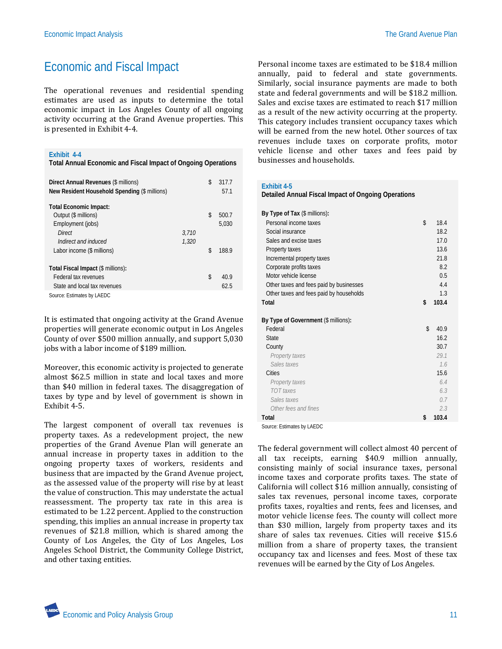## Economic and Fiscal Impact

The operational revenues and residential spending estimates are used as inputs to determine the total economic impact in Los Angeles County of all ongoing activity occurring at the Grand Avenue properties. This is presented in Exhibit 4-4.

#### **Exhibit 4-4**

**Total Annual Economic and Fiscal Impact of Ongoing Operations**

| Direct Annual Revenues (\$ millions)<br>New Resident Household Spending (\$ millions) |       | \$<br>317.7<br>57.1 |
|---------------------------------------------------------------------------------------|-------|---------------------|
| <b>Total Economic Impact:</b>                                                         |       |                     |
| Output (\$ millions)                                                                  |       | \$<br>500.7         |
| Employment (jobs)                                                                     |       | 5.030               |
| Direct                                                                                | 3.710 |                     |
| Indirect and induced                                                                  | 1,320 |                     |
| Labor income (\$ millions)                                                            |       | \$<br>188.9         |
|                                                                                       |       |                     |
| Total Fiscal Impact (\$ millions):                                                    |       |                     |
| Federal tax revenues                                                                  |       | \$<br>40.9          |
| State and local tax revenues                                                          |       | 62.5                |
| Source: Estimates by LAEDC                                                            |       |                     |

It is estimated that ongoing activity at the Grand Avenue properties will generate economic output in Los Angeles County of over \$500 million annually, and support 5,030 jobs with a labor income of \$189 million.

Moreover, this economic activity is projected to generate almost \$62.5 million in state and local taxes and more than \$40 million in federal taxes. The disaggregation of taxes by type and by level of government is shown in Exhibit 4-5.

The largest component of overall tax revenues is property taxes. As a redevelopment project, the new properties of the Grand Avenue Plan will generate an annual increase in property taxes in addition to the ongoing property taxes of workers, residents and business that are impacted by the Grand Avenue project, as the assessed value of the property will rise by at least the value of construction. This may understate the actual reassessment. The property tax rate in this area is estimated to be 1.22 percent. Applied to the construction spending, this implies an annual increase in property tax revenues of \$21.8 million, which is shared among the County of Los Angeles, the City of Los Angeles, Los Angeles School District, the Community College District, and other taxing entities.

Personal income taxes are estimated to be \$18.4 million annually, paid to federal and state governments. Similarly, social insurance payments are made to both state and federal governments and will be \$18.2 million. Sales and excise taxes are estimated to reach \$17 million as a result of the new activity occurring at the property. This category includes transient occupancy taxes which will be earned from the new hotel. Other sources of tax revenues include taxes on corporate profits, motor vehicle license and other taxes and fees paid by businesses and households.

#### **Exhibit 4-5**

| Detailed Annual Fiscal Impact of Ongoing Operations |                    |       |
|-----------------------------------------------------|--------------------|-------|
| By Type of Tax (\$ millions):                       |                    |       |
| Personal income taxes                               | \$                 | 18.4  |
| Social insurance                                    |                    | 18.2  |
| Sales and excise taxes                              |                    | 17.0  |
| Property taxes                                      |                    | 13.6  |
| Incremental property taxes                          |                    | 21.8  |
| Corporate profits taxes                             |                    | 8.2   |
| Motor vehicle license                               |                    | 0.5   |
| Other taxes and fees paid by businesses             |                    | 4.4   |
| Other taxes and fees paid by households             |                    | 1.3   |
| Total                                               | \$                 | 103.4 |
| By Type of Government (\$ millions):                |                    |       |
| Federal                                             | $\mathbf{\hat{z}}$ | 40.9  |
| <b>State</b>                                        |                    | 16.2  |
| County                                              |                    | 30.7  |
| Property taxes                                      |                    | 29.1  |
| Sales taxes                                         |                    | 1.6   |
| Cities                                              |                    | 15.6  |
| Property taxes                                      |                    | 6.4   |
| TOT taxes                                           |                    | 6.3   |
| Sales taxes                                         |                    | 0.7   |
| Other fees and fines                                |                    | 2.3   |
| Total                                               | \$                 | 103.4 |
|                                                     |                    |       |

Source: Estimates by LAEDC

The federal government will collect almost 40 percent of all tax receipts, earning \$40.9 million annually, consisting mainly of social insurance taxes, personal income taxes and corporate profits taxes. The state of California will collect \$16 million annually, consisting of sales tax revenues, personal income taxes, corporate profits taxes, royalties and rents, fees and licenses, and motor vehicle license fees. The county will collect more than \$30 million, largely from property taxes and its share of sales tax revenues. Cities will receive \$15.6 million from a share of property taxes, the transient occupancy tax and licenses and fees. Most of these tax revenues will be earned by the City of Los Angeles.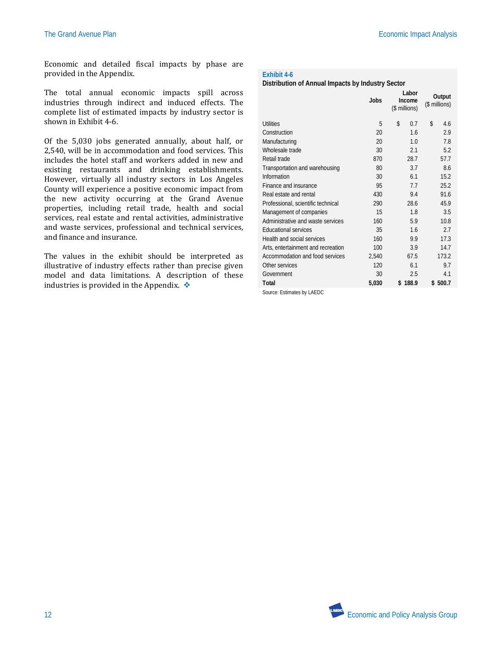Economic and detailed fiscal impacts by phase are provided in the Appendix.

The total annual economic impacts spill across industries through indirect and induced effects. The complete list of estimated impacts by industry sector is shown in Exhibit 4-6.

Of the 5,030 jobs generated annually, about half, or 2,540, will be in accommodation and food services. This includes the hotel staff and workers added in new and existing restaurants and drinking establishments. However, virtually all industry sectors in Los Angeles County will experience a positive economic impact from the new activity occurring at the Grand Avenue properties, including retail trade, health and social services, real estate and rental activities, administrative and waste services, professional and technical services, and finance and insurance.

The values in the exhibit should be interpreted as illustrative of industry effects rather than precise given model and data limitations. A description of these industries is provided in the Appendix.  $\bullet$ 

### **Exhibit 4-6**

### **Distribution of Annual Impacts by Industry Sector**

|                                    | Jobs  | Labor<br>Income<br>(\$ millions) | Output<br>(\$ millions) |
|------------------------------------|-------|----------------------------------|-------------------------|
| Utilities                          | 5     | \$<br>0.7                        | \$<br>4.6               |
| Construction                       | 20    | 16                               | 2.9                     |
| Manufacturing                      | 20    | 1.0                              | 7.8                     |
| Wholesale trade                    | 30    | 2.1                              | 5.2                     |
| Retail trade                       | 870   | 28.7                             | 57.7                    |
| Transportation and warehousing     | 80    | 3.7                              | 8.6                     |
| Information                        | 30    | 6.1                              | 15.2                    |
| Finance and insurance              | 95    | 7.7                              | 25.2                    |
| Real estate and rental             | 430   | 9.4                              | 91.6                    |
| Professional, scientific technical | 290   | 28.6                             | 45.9                    |
| Management of companies            | 15    | 1.8                              | 3.5                     |
| Administrative and waste services  | 160   | 5.9                              | 10.8                    |
| <b>Educational services</b>        | 35    | 1.6                              | 2.7                     |
| Health and social services         | 160   | 9.9                              | 17.3                    |
| Arts, entertainment and recreation | 100   | 3.9                              | 14.7                    |
| Accommodation and food services    | 2,540 | 67.5                             | 173.2                   |
| Other services                     | 120   | 6.1                              | 9.7                     |
| Government                         | 30    | 2.5                              | 4.1                     |
| Total                              | 5,030 | \$188.9                          | \$500.7                 |
|                                    |       |                                  |                         |

Source: Estimates by LAEDC

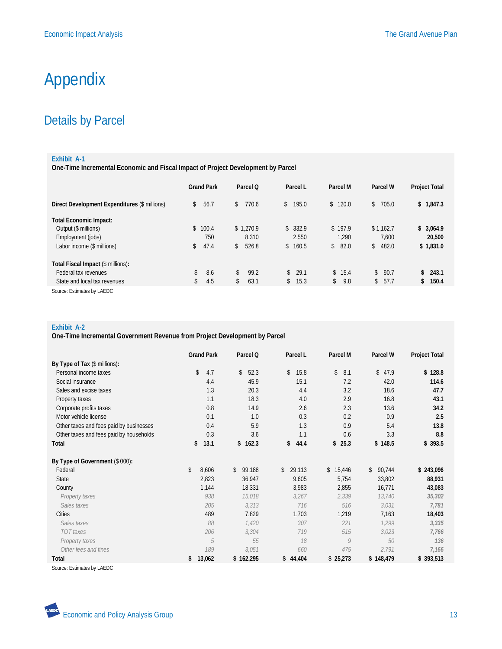# Appendix

## Details by Parcel

### **Exhibit A-1**

**One-Time Incremental Economic and Fiscal Impact of Project Development by Parcel**

|                                               | <b>Grand Park</b>          | Parcel O              | Parcel L | Parcel M  | Parcel W                   | <b>Project Total</b> |
|-----------------------------------------------|----------------------------|-----------------------|----------|-----------|----------------------------|----------------------|
| Direct Development Expenditures (\$ millions) | $\mathbf{\hat{s}}$<br>56.7 | 770.6<br>$\mathbb{S}$ | 195.0    | \$120.0   | 705.0<br>\$                | 1,847.3<br>\$        |
| <b>Total Economic Impact:</b>                 |                            |                       |          |           |                            |                      |
| Output (\$ millions)                          | 100.4<br>\$                | \$1.270.9             | \$332.9  | \$197.9   | \$1.162.7                  | \$3.064.9            |
| Employment (jobs)                             | 750                        | 8.310                 | 2,550    | 1.290     | 7,600                      | 20,500               |
| Labor income (\$ millions)                    | 47.4<br>\$                 | 526.8<br>\$           | \$160.5  | \$82.0    | \$482.0                    | \$1,831.0            |
| Total Fiscal Impact (\$ millions):            |                            |                       |          |           |                            |                      |
| Federal tax revenues                          | \$<br>8.6                  | 99.2<br>\$            | \$29.1   | \$15.4    | 90.7<br>$\mathbf{\hat{s}}$ | \$243.1              |
| State and local tax revenues                  | \$<br>4.5                  | 63.1<br>\$            | \$15.3   | \$<br>9.8 | 57.7<br>\$                 | \$150.4              |
| Source: Estimates by LAEDC                    |                            |                       |          |           |                            |                      |

### **Exhibit A-2**

**One-Time Incremental Government Revenue from Project Development by Parcel**

|                                         | <b>Grand Park</b> | Parcel Q     | Parcel L     | Parcel M     | Parcel W     | Project Total |
|-----------------------------------------|-------------------|--------------|--------------|--------------|--------------|---------------|
| By Type of Tax (\$ millions):           |                   |              |              |              |              |               |
| Personal income taxes                   | \$<br>4.7         | \$<br>52.3   | \$<br>15.8   | \$<br>8.1    | \$<br>47.9   | \$128.8       |
| Social insurance                        | 4.4               | 45.9         | 15.1         | 7.2          | 42.0         | 114.6         |
| Sales and excise taxes                  | 1.3               | 20.3         | 4.4          | 3.2          | 18.6         | 47.7          |
| Property taxes                          | 1.1               | 18.3         | 4.0          | 2.9          | 16.8         | 43.1          |
| Corporate profits taxes                 | 0.8               | 14.9         | 2.6          | 2.3          | 13.6         | 34.2          |
| Motor vehicle license                   | 0.1               | 1.0          | 0.3          | 0.2          | 0.9          | 2.5           |
| Other taxes and fees paid by businesses | 0.4               | 5.9          | 1.3          | 0.9          | 5.4          | 13.8          |
| Other taxes and fees paid by households | 0.3               | 3.6          | 1.1          | 0.6          | 3.3          | 8.8           |
| Total                                   | 13.1<br>\$        | 162.3<br>\$  | \$<br>44.4   | 25.3<br>\$   | \$148.5      | \$393.5       |
| By Type of Government (\$ 000):         |                   |              |              |              |              |               |
| Federal                                 | \$<br>8,606       | \$<br>99,188 | \$<br>29,113 | 15,446<br>\$ | 90,744<br>\$ | \$243,096     |
| State                                   | 2,823             | 36,947       | 9,605        | 5,754        | 33,802       | 88,931        |
| County                                  | 1,144             | 18,331       | 3,983        | 2,855        | 16,771       | 43,083        |
| Property taxes                          | 938               | 15,018       | 3,267        | 2,339        | 13,740       | 35,302        |
| Sales taxes                             | 205               | 3,313        | 716          | 516          | 3,031        | 7,781         |
| Cities                                  | 489               | 7,829        | 1,703        | 1,219        | 7,163        | 18,403        |
| Sales taxes                             | 88                | 1,420        | 307          | 221          | 1,299        | 3,335         |
| TOT taxes                               | 206               | 3,304        | 719          | 515          | 3,023        | 7,766         |
| Property taxes                          | 5                 | 55           | 18           | 9            | 50           | 136           |
| Other fees and fines                    | 189               | 3,051        | 660          | 475          | 2,791        | 7,166         |
| Total                                   | 13,062<br>\$      | \$162,295    | 44,404<br>\$ | \$25,273     | \$148,479    | \$393,513     |

Source: Estimates by LAEDC

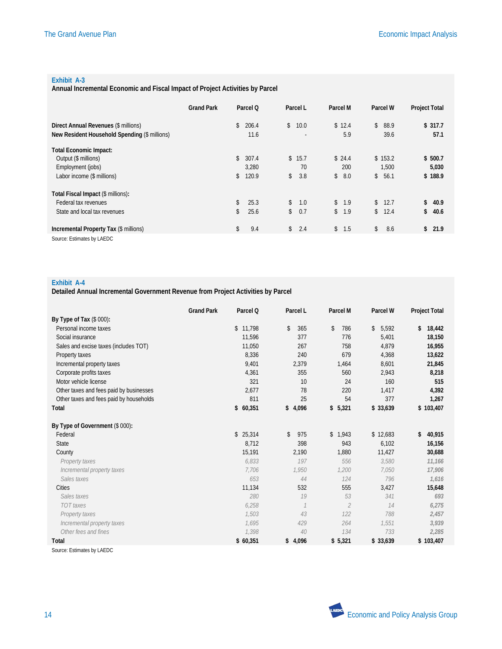### **Exhibit A-3**

**Annual Incremental Economic and Fiscal Impact of Project Activities by Parcel**

|                                               | <b>Grand Park</b> | Parcel Q    | Parcel L             | Parcel M  | Parcel W   | <b>Project Total</b> |
|-----------------------------------------------|-------------------|-------------|----------------------|-----------|------------|----------------------|
| Direct Annual Revenues (\$ millions)          |                   | 206.4<br>\$ | $\mathbb{S}$<br>10.0 | \$12.4    | \$<br>88.9 | \$317.7              |
| New Resident Household Spending (\$ millions) |                   | 11.6        |                      | 5.9       | 39.6       | 57.1                 |
| <b>Total Economic Impact:</b>                 |                   |             |                      |           |            |                      |
| Output (\$ millions)                          |                   | \$<br>307.4 | \$15.7               | \$24.4    | \$153.2    | \$500.7              |
| Employment (jobs)                             |                   | 3.280       | 70                   | 200       | 1,500      | 5,030                |
| Labor income (\$ millions)                    |                   | 120.9<br>\$ | \$<br>3.8            | \$<br>8.0 | \$<br>56.1 | \$188.9              |
| Total Fiscal Impact (\$ millions):            |                   |             |                      |           |            |                      |
| Federal tax revenues                          |                   | \$<br>25.3  | $\mathbb{S}$<br>1.0  | \$<br>1.9 | \$<br>12.7 | \$<br>40.9           |
| State and local tax revenues                  |                   | \$<br>25.6  | \$<br>0.7            | \$<br>1.9 | \$<br>12.4 | \$<br>40.6           |
| Incremental Property Tax (\$ millions)        |                   | \$<br>9.4   | $\mathbb{S}$<br>2.4  | \$1.5     | \$<br>8.6  | \$21.9               |
| Source: Estimates by LAEDC                    |                   |             |                      |           |            |                      |

#### **Exhibit A-4**

**Detailed Annual Incremental Government Revenue from Project Activities by Parcel**

|                                         | <b>Grand Park</b> | Parcel Q | Parcel L            | Parcel M       | Parcel W    | <b>Project Total</b> |
|-----------------------------------------|-------------------|----------|---------------------|----------------|-------------|----------------------|
| By Type of Tax (\$ 000):                |                   |          |                     |                |             |                      |
| Personal income taxes                   |                   | \$11,798 | $\mathbb{S}$<br>365 | 786<br>\$      | \$<br>5,592 | \$<br>18,442         |
| Social insurance                        |                   | 11,596   | 377                 | 776            | 5,401       | 18,150               |
| Sales and excise taxes (includes TOT)   |                   | 11,050   | 267                 | 758            | 4,879       | 16,955               |
| Property taxes                          |                   | 8.336    | 240                 | 679            | 4,368       | 13,622               |
| Incremental property taxes              |                   | 9,401    | 2,379               | 1,464          | 8,601       | 21,845               |
| Corporate profits taxes                 |                   | 4,361    | 355                 | 560            | 2,943       | 8,218                |
| Motor vehicle license                   |                   | 321      | 10                  | 24             | 160         | 515                  |
| Other taxes and fees paid by businesses |                   | 2.677    | 78                  | 220            | 1.417       | 4,392                |
| Other taxes and fees paid by households |                   | 811      | 25                  | 54             | 377         | 1,267                |
| Total                                   |                   | \$60,351 | \$4,096             | \$5,321        | \$33,639    | \$103,407            |
| By Type of Government (\$ 000):         |                   |          |                     |                |             |                      |
| Federal                                 |                   | \$25,314 | 975<br>\$           | \$1,943        | \$12,683    | \$<br>40,915         |
| <b>State</b>                            |                   | 8,712    | 398                 | 943            | 6,102       | 16,156               |
| County                                  |                   | 15,191   | 2,190               | 1,880          | 11,427      | 30,688               |
| Property taxes                          |                   | 6.833    | 197                 | 556            | 3,580       | 11,166               |
| Incremental property taxes              |                   | 7.706    | 1.950               | 1.200          | 7.050       | 17,906               |
| Sales taxes                             |                   | 653      | 44                  | 124            | 796         | 1,616                |
| Cities                                  |                   | 11,134   | 532                 | 555            | 3,427       | 15,648               |
| Sales taxes                             |                   | 280      | 19                  | 53             | 341         | 693                  |
| <b>TOT</b> taxes                        |                   | 6,258    | $\mathcal{I}$       | $\overline{2}$ | 14          | 6,275                |
| Property taxes                          |                   | 1.503    | 43                  | 122            | 788         | 2,457                |
| Incremental property taxes              |                   | 1.695    | 429                 | 264            | 1.551       | 3,939                |
| Other fees and fines                    |                   | 1.398    | 40                  | 134            | 733         | 2,285                |
| Total                                   |                   | \$60,351 | \$4,096             | \$5,321        | \$33,639    | \$103,407            |
|                                         |                   |          |                     |                |             |                      |

Source: Estimates by LAEDC

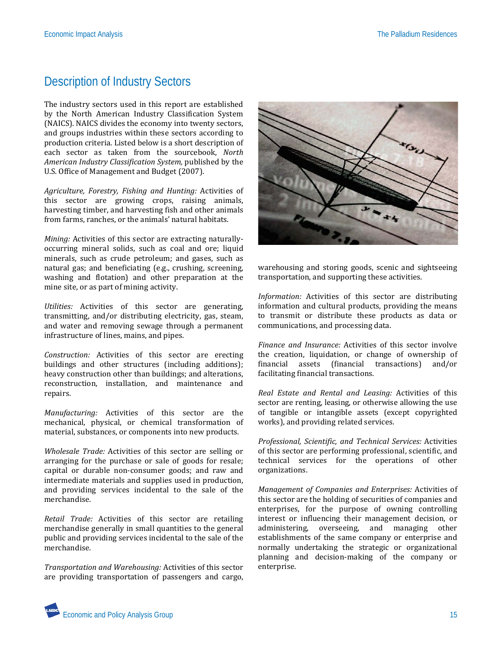## Description of Industry Sectors

The industry sectors used in this report are established by the North American Industry Classification System (NAICS). NAICS divides the economy into twenty sectors, and groups industries within these sectors according to production criteria. Listed below is a short description of each sector as taken from the sourcebook, *North American Industry Classification System,* published by the U.S. Office of Management and Budget (2007).

*Agriculture, Forestry, Fishing and Hunting:* Activities of this sector are growing crops, raising animals, harvesting timber, and harvesting fish and other animals from farms, ranches, or the animals' natural habitats.

*Mining:* Activities of this sector are extracting naturallyoccurring mineral solids, such as coal and ore; liquid minerals, such as crude petroleum; and gases, such as natural gas; and beneficiating (e.g., crushing, screening, washing and flotation) and other preparation at the mine site, or as part of mining activity.

*Utilities:* Activities of this sector are generating, transmitting, and/or distributing electricity, gas, steam, and water and removing sewage through a permanent infrastructure of lines, mains, and pipes.

*Construction:* Activities of this sector are erecting buildings and other structures (including additions); heavy construction other than buildings; and alterations, reconstruction, installation, and maintenance and repairs.

*Manufacturing:* Activities of this sector are the mechanical, physical, or chemical transformation of material, substances, or components into new products.

*Wholesale Trade:* Activities of this sector are selling or arranging for the purchase or sale of goods for resale; capital or durable non-consumer goods; and raw and intermediate materials and supplies used in production, and providing services incidental to the sale of the merchandise.

*Retail Trade:* Activities of this sector are retailing merchandise generally in small quantities to the general public and providing services incidental to the sale of the merchandise.

*Transportation and Warehousing:* Activities of this sector are providing transportation of passengers and cargo,



warehousing and storing goods, scenic and sightseeing transportation, and supporting these activities.

*Information:* Activities of this sector are distributing information and cultural products, providing the means to transmit or distribute these products as data or communications, and processing data.

*Finance and Insurance:* Activities of this sector involve the creation, liquidation, or change of ownership of financial assets (financial transactions) and/or (financial transactions) facilitating financial transactions.

*Real Estate and Rental and Leasing:* Activities of this sector are renting, leasing, or otherwise allowing the use of tangible or intangible assets (except copyrighted works), and providing related services.

*Professional, Scientific, and Technical Services:* Activities of this sector are performing professional, scientific, and technical services for the operations of other organizations.

*Management of Companies and Enterprises:* Activities of this sector are the holding of securities of companies and enterprises, for the purpose of owning controlling interest or influencing their management decision, or administering, overseeing, and managing other establishments of the same company or enterprise and normally undertaking the strategic or organizational planning and decision-making of the company or enterprise.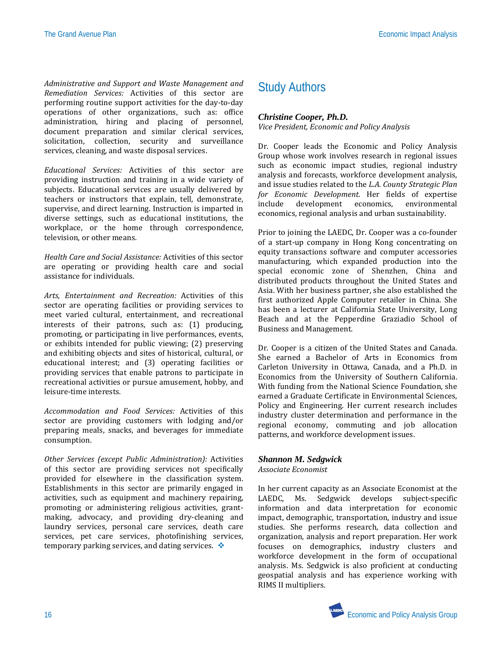*Administrative and Support and Waste Management and Remediation Services:* Activities of this sector are performing routine support activities for the day-to-day operations of other organizations, such as: office administration, hiring and placing of personnel, document preparation and similar clerical services, solicitation, collection, security and surveillance services, cleaning, and waste disposal services.

*Educational Services:* Activities of this sector are providing instruction and training in a wide variety of subjects. Educational services are usually delivered by teachers or instructors that explain, tell, demonstrate, supervise, and direct learning. Instruction is imparted in diverse settings, such as educational institutions, the workplace, or the home through correspondence, television, or other means.

*Health Care and Social Assistance:* Activities of this sector are operating or providing health care and social assistance for individuals.

*Arts, Entertainment and Recreation:* Activities of this sector are operating facilities or providing services to meet varied cultural, entertainment, and recreational interests of their patrons, such as: (1) producing, promoting, or participating in live performances, events, or exhibits intended for public viewing; (2) preserving and exhibiting objects and sites of historical, cultural, or educational interest; and (3) operating facilities or providing services that enable patrons to participate in recreational activities or pursue amusement, hobby, and leisure-time interests.

*Accommodation and Food Services:* Activities of this sector are providing customers with lodging and/or preparing meals, snacks, and beverages for immediate consumption.

*Other Services (except Public Administration):* Activities of this sector are providing services not specifically provided for elsewhere in the classification system. Establishments in this sector are primarily engaged in activities, such as equipment and machinery repairing, promoting or administering religious activities, grantmaking, advocacy, and providing dry-cleaning and laundry services, personal care services, death care services, pet care services, photofinishing services, temporary parking services, and dating services.  $\cdot$ 

## Study Authors

### *Christine Cooper, Ph.D.*

*Vice President, Economic and Policy Analysis* 

Dr. Cooper leads the Economic and Policy Analysis Group whose work involves research in regional issues such as economic impact studies, regional industry analysis and forecasts, workforce development analysis, and issue studies related to the *L.A. County Strategic Plan for Economic Development.* Her fields of expertise development economics, economics, regional analysis and urban sustainability.

Prior to joining the LAEDC, Dr. Cooper was a co-founder of a start-up company in Hong Kong concentrating on equity transactions software and computer accessories manufacturing, which expanded production into the special economic zone of Shenzhen, China and distributed products throughout the United States and Asia. With her business partner, she also established the first authorized Apple Computer retailer in China. She has been a lecturer at California State University, Long Beach and at the Pepperdine Graziadio School of Business and Management.

Dr. Cooper is a citizen of the United States and Canada. She earned a Bachelor of Arts in Economics from Carleton University in Ottawa, Canada, and a Ph.D. in Economics from the University of Southern California. With funding from the National Science Foundation, she earned a Graduate Certificate in Environmental Sciences, Policy and Engineering. Her current research includes industry cluster determination and performance in the regional economy, commuting and job allocation patterns, and workforce development issues.

### *Shannon M. Sedgwick*

*Associate Economist*

In her current capacity as an Associate Economist at the LAEDC, Ms. Sedgwick develops subject-specific information and data interpretation for economic impact, demographic, transportation, industry and issue studies. She performs research, data collection and organization, analysis and report preparation. Her work focuses on demographics, industry clusters and workforce development in the form of occupational analysis. Ms. Sedgwick is also proficient at conducting geospatial analysis and has experience working with RIMS II multipliers.

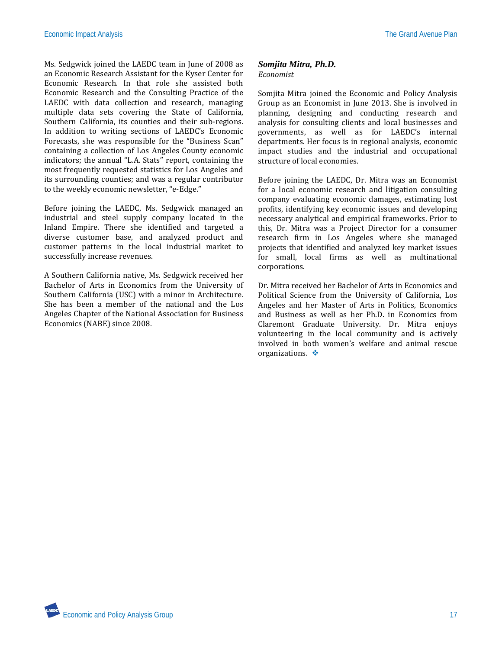Ms. Sedgwick joined the LAEDC team in June of 2008 as an Economic Research Assistant for the Kyser Center for Economic Research. In that role she assisted both Economic Research and the Consulting Practice of the LAEDC with data collection and research, managing multiple data sets covering the State of California, Southern California, its counties and their sub-regions. In addition to writing sections of LAEDC's Economic Forecasts, she was responsible for the "Business Scan" containing a collection of Los Angeles County economic indicators; the annual "L.A. Stats" report, containing the most frequently requested statistics for Los Angeles and its surrounding counties; and was a regular contributor to the weekly economic newsletter, "e-Edge."

Before joining the LAEDC, Ms. Sedgwick managed an industrial and steel supply company located in the Inland Empire. There she identified and targeted a diverse customer base, and analyzed product and customer patterns in the local industrial market to successfully increase revenues.

A Southern California native, Ms. Sedgwick received her Bachelor of Arts in Economics from the University of Southern California (USC) with a minor in Architecture. She has been a member of the national and the Los Angeles Chapter of the National Association for Business Economics (NABE) since 2008.

### *Somjita Mitra, Ph.D. Economist*

Somjita Mitra joined the Economic and Policy Analysis Group as an Economist in June 2013. She is involved in planning, designing and conducting research and analysis for consulting clients and local businesses and governments, as well as for LAEDC's internal departments. Her focus is in regional analysis, economic impact studies and the industrial and occupational structure of local economies.

Before joining the LAEDC, Dr. Mitra was an Economist for a local economic research and litigation consulting company evaluating economic damages, estimating lost profits, identifying key economic issues and developing necessary analytical and empirical frameworks. Prior to this, Dr. Mitra was a Project Director for a consumer research firm in Los Angeles where she managed projects that identified and analyzed key market issues for small, local firms as well as multinational corporations.

Dr. Mitra received her Bachelor of Arts in Economics and Political Science from the University of California, Los Angeles and her Master of Arts in Politics, Economics and Business as well as her Ph.D. in Economics from Claremont Graduate University. Dr. Mitra enjoys volunteering in the local community and is actively involved in both women's welfare and animal rescue organizations.

And Economic and Policy Analysis Group 17 and the state of the state of the state of the state of the state of the state of the state of the state of the state of the state of the state of the state of the state of the sta